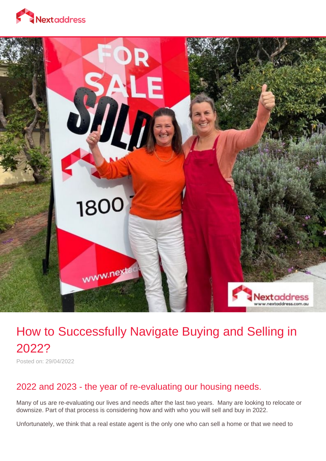



# How to Successfully Navigate Buying and Selling in 2022?

Posted on: 29/04/2022

### 2022 and 2023 - the year of re-evaluating our housing needs.

Many of us are re-evaluating our lives and needs after the last two years. Many are looking to relocate or downsize. Part of that process is considering how and with who you will sell and buy in 2022.

Unfortunately, we think that a real estate agent is the only one who can sell a home or that we need to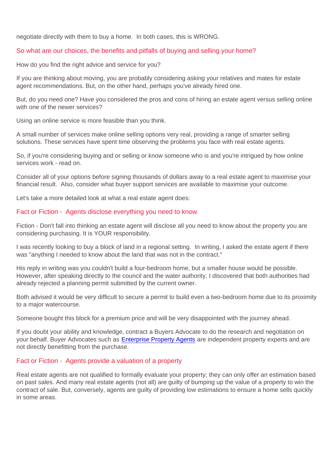negotiate directly with them to buy a home. In both cases, this is WRONG.

#### So what are our choices, the benefits and pitfalls of buying and selling your home?

How do you find the right advice and service for you?

If you are thinking about moving, you are probably considering asking your relatives and mates for estate agent recommendations. But, on the other hand, perhaps you've already hired one.

But, do you need one? Have you considered the pros and cons of hiring an estate agent versus selling online with one of the newer services?

Using an online service is more feasible than you think.

A small number of services make online selling options very real, providing a range of smarter selling solutions. These services have spent time observing the problems you face with real estate agents.

So, if you're considering buying and or selling or know someone who is and you're intrigued by how online services work - read on.

Consider all of your options before signing thousands of dollars away to a real estate agent to maximise your financial result. Also, consider what buyer support services are available to maximise your outcome.

Let's take a more detailed look at what a real estate agent does:

#### Fact or Fiction - Agents disclose everything you need to know

Fiction - Don't fall into thinking an estate agent will disclose all you need to know about the property you are considering purchasing. It is YOUR responsibility.

I was recently looking to buy a block of land in a regional setting. In writing, I asked the estate agent if there was "anything I needed to know about the land that was not in the contract."

His reply in writing was you couldn't build a four-bedroom home, but a smaller house would be possible. However, after speaking directly to the council and the water authority, I discovered that both authorities had already rejected a planning permit submitted by the current owner.

Both advised it would be very difficult to secure a permit to build even a two-bedroom home due to its proximity to a major watercourse.

Someone bought this block for a premium price and will be very disappointed with the journey ahead.

If you doubt your ability and knowledge, contract a Buyers Advocate to do the research and negotiation on your behalf. Buyer Advocates such as [Enterprise Property Agents](https://www.enterprisepropertyagents.com.au/) are independent property experts and are not directly benefitting from the purchase.

#### Fact or Fiction - Agents provide a valuation of a property

Real estate agents are not qualified to formally evaluate your property; they can only offer an estimation based on past sales. And many real estate agents (not all) are guilty of bumping up the value of a property to win the contract of sale. But, conversely, agents are guilty of providing low estimations to ensure a home sells quickly in some areas.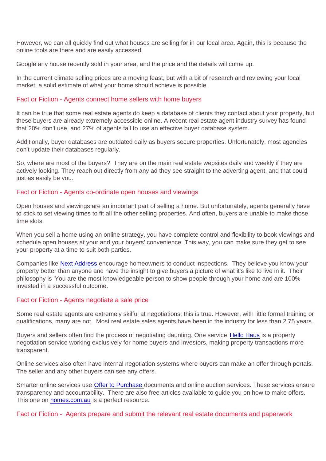However, we can all quickly find out what houses are selling for in our local area. Again, this is because the online tools are there and are easily accessed.

Google any house recently sold in your area, and the price and the details will come up.

In the current climate selling prices are a moving feast, but with a bit of research and reviewing your local market, a solid estimate of what your home should achieve is possible.

#### Fact or Fiction - Agents connect home sellers with home buyers

It can be true that some real estate agents do keep a database of clients they contact about your property, but these buyers are already extremely accessible online. A recent real estate agent industry survey has found that 20% don't use, and 27% of agents fail to use an effective buyer database system.

Additionally, buyer databases are outdated daily as buyers secure properties. Unfortunately, most agencies don't update their databases regularly.

So, where are most of the buyers? They are on the main real estate websites daily and weekly if they are actively looking. They reach out directly from any ad they see straight to the adverting agent, and that could just as easily be you.

#### Fact or Fiction - Agents co-ordinate open houses and viewings

Open houses and viewings are an important part of selling a home. But unfortunately, agents generally have to stick to set viewing times to fit all the other selling properties. And often, buyers are unable to make those time slots.

When you sell a home using an online strategy, you have complete control and flexibility to book viewings and schedule open houses at your and your buyers' convenience. This way, you can make sure they get to see your property at a time to suit both parties.

Companies like [Next Address e](https://nextaddress.com.au/)ncourage homeowners to conduct inspections. They believe you know your property better than anyone and have the insight to give buyers a picture of what it's like to live in it. Their philosophy is 'You are the most knowledgeable person to show people through your home and are 100% invested in a successful outcome.

#### Fact or Fiction - Agents negotiate a sale price

Some real estate agents are extremely skilful at negotiations; this is true. However, with little formal training or qualifications, many are not. Most real estate sales agents have been in the industry for less than 2.75 years.

Buyers and sellers often find the process of negotiating daunting. One service [Hello Haus](https://hellohaus.co) is a property negotiation service working exclusively for home buyers and investors, making property transactions more transparent.

Online services also often have internal negotiation systems where buyers can make an offer through portals. The seller and any other buyers can see any offers.

Smarter online services use [Offer to Purchase](https://nextaddress.com.au/blog/77/offer-to-purchase-document) documents and online auction services. These services ensure transparency and accountability. There are also free articles available to guide you on how to make offers. This one on [homes.com.au](http://homes.com.au/news/make-offer-house) is a perfect resource.

Fact or Fiction - Agents prepare and submit the relevant real estate documents and paperwork